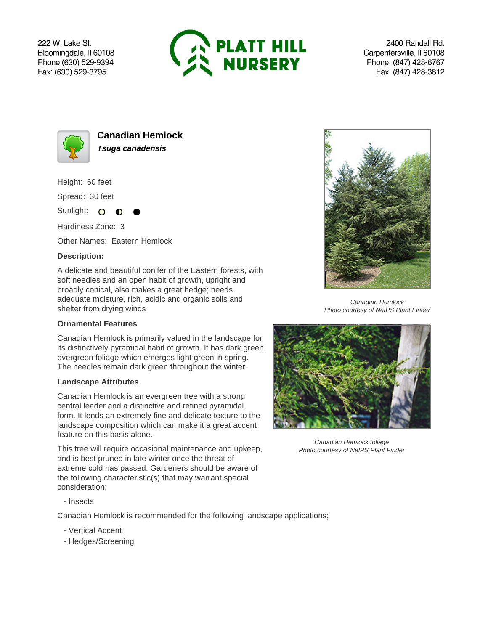222 W. Lake St. Bloomingdale, Il 60108 Phone (630) 529-9394 Fax: (630) 529-3795



2400 Randall Rd. Carpentersville, Il 60108 Phone: (847) 428-6767 Fax: (847) 428-3812



**Canadian Hemlock Tsuga canadensis**

Height: 60 feet

Spread: 30 feet

Sunlight: O - 0

Hardiness Zone: 3

Other Names: Eastern Hemlock

## **Description:**

A delicate and beautiful conifer of the Eastern forests, with soft needles and an open habit of growth, upright and broadly conical, also makes a great hedge; needs adequate moisture, rich, acidic and organic soils and shelter from drying winds

## **Ornamental Features**

Canadian Hemlock is primarily valued in the landscape for its distinctively pyramidal habit of growth. It has dark green evergreen foliage which emerges light green in spring. The needles remain dark green throughout the winter.

## **Landscape Attributes**

Canadian Hemlock is an evergreen tree with a strong central leader and a distinctive and refined pyramidal form. It lends an extremely fine and delicate texture to the landscape composition which can make it a great accent feature on this basis alone.

This tree will require occasional maintenance and upkeep, and is best pruned in late winter once the threat of extreme cold has passed. Gardeners should be aware of the following characteristic(s) that may warrant special consideration;



Canadian Hemlock Photo courtesy of NetPS Plant Finder



Canadian Hemlock foliage Photo courtesy of NetPS Plant Finder

- Insects

Canadian Hemlock is recommended for the following landscape applications;

- Vertical Accent
- Hedges/Screening